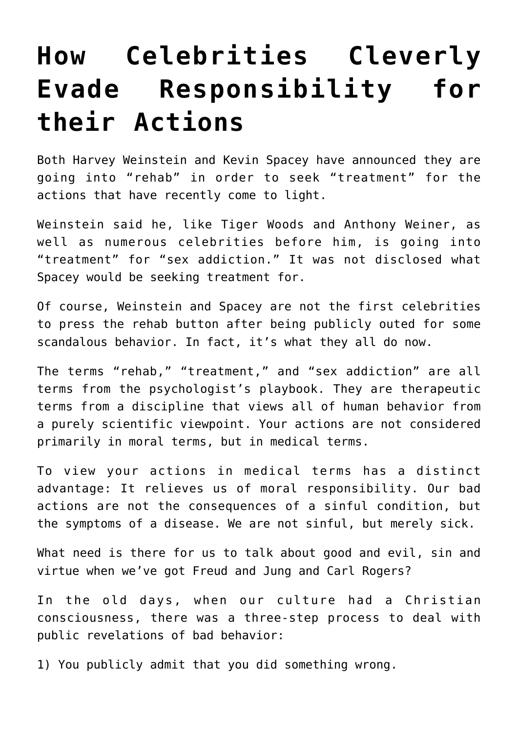## **[How Celebrities Cleverly](https://intellectualtakeout.org/2017/11/how-celebrities-cleverly-evade-responsibility-for-their-actions/) [Evade Responsibility for](https://intellectualtakeout.org/2017/11/how-celebrities-cleverly-evade-responsibility-for-their-actions/) [their Actions](https://intellectualtakeout.org/2017/11/how-celebrities-cleverly-evade-responsibility-for-their-actions/)**

Both Harvey Weinstein and Kevin Spacey have announced they are going into "rehab" in order to seek "treatment" for the actions that have recently come to light.

Weinstein said he, like Tiger Woods and Anthony Weiner, as well as numerous celebrities before him, is going into "treatment" for "sex addiction." It was not disclosed what Spacey would be seeking treatment for.

Of course, Weinstein and Spacey are not the first celebrities to press the rehab button after being publicly outed for some scandalous behavior. In fact, it's what they all do now.

The terms "rehab," "treatment," and "sex addiction" are all terms from the psychologist's playbook. They are therapeutic terms from a discipline that views all of human behavior from a purely scientific viewpoint. Your actions are not considered primarily in moral terms, but in medical terms.

To view your actions in medical terms has a distinct advantage: It relieves us of moral responsibility. Our bad actions are not the consequences of a sinful condition, but the symptoms of a disease. We are not sinful, but merely sick.

What need is there for us to talk about good and evil, sin and virtue when we've got Freud and Jung and Carl Rogers?

In the old days, when our culture had a Christian consciousness, there was a three-step process to deal with public revelations of bad behavior:

1) You publicly admit that you did something wrong.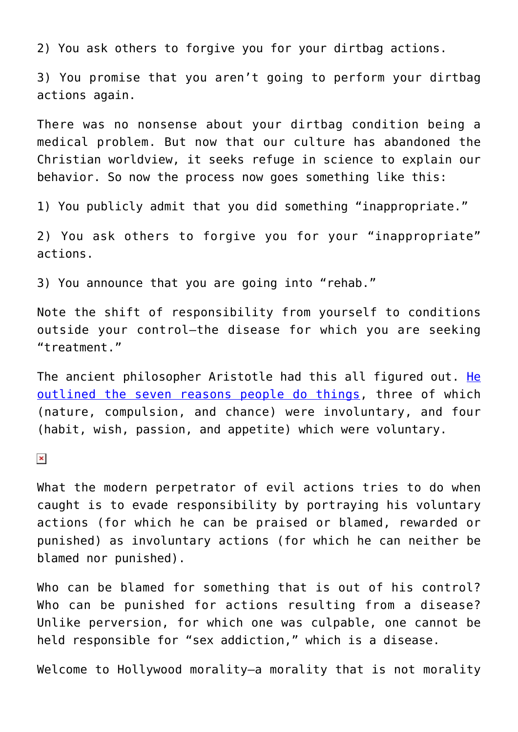2) You ask others to forgive you for your dirtbag actions.

3) You promise that you aren't going to perform your dirtbag actions again.

There was no nonsense about your dirtbag condition being a medical problem. But now that our culture has abandoned the Christian worldview, it seeks refuge in science to explain our behavior. So now the process now goes something like this:

1) You publicly admit that you did something "inappropriate."

2) You ask others to forgive you for your "inappropriate" actions.

3) You announce that you are going into "rehab."

Note the shift of responsibility from yourself to conditions outside your control—the disease for which you are seeking "treatment."

The ancient philosopher Aristotle had this all figured out. [He](https://www.memoriapress.com/articles/aristotles-explanation-why-we-make-excuses-ourselves/) [outlined the seven reasons people do things](https://www.memoriapress.com/articles/aristotles-explanation-why-we-make-excuses-ourselves/), three of which (nature, compulsion, and chance) were involuntary, and four (habit, wish, passion, and appetite) which were voluntary.

 $\pmb{\times}$ 

What the modern perpetrator of evil actions tries to do when caught is to evade responsibility by portraying his voluntary actions (for which he can be praised or blamed, rewarded or punished) as involuntary actions (for which he can neither be blamed nor punished).

Who can be blamed for something that is out of his control? Who can be punished for actions resulting from a disease? Unlike perversion, for which one was culpable, one cannot be held responsible for "sex addiction," which is a disease.

Welcome to Hollywood morality—a morality that is not morality